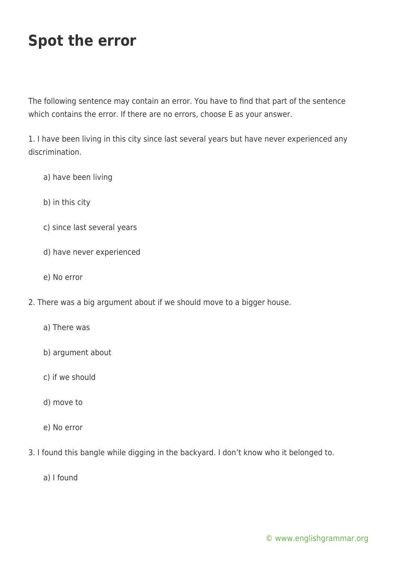# **Spot the error**

The following sentence may contain an error. You have to find that part of the sentence which contains the error. If there are no errors, choose E as your answer.

1. I have been living in this city since last several years but have never experienced any discrimination.

- a) have been living
- b) in this city
- c) since last several years
- d) have never experienced
- e) No error
- 2. There was a big argument about if we should move to a bigger house.
	- a) There was
	- b) argument about
	- c) if we should
	- d) move to
	- e) No error
- 3. I found this bangle while digging in the backyard. I don't know who it belonged to.
	- a) I found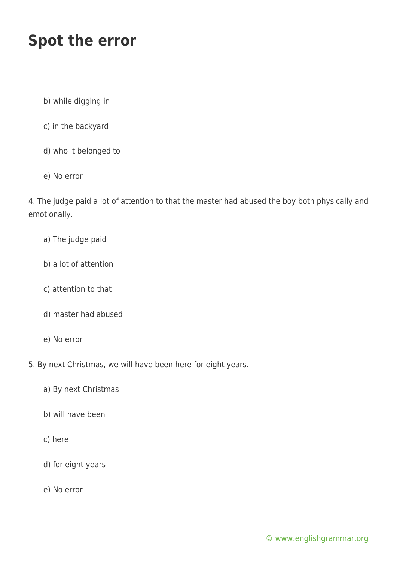## **Spot the error**

- b) while digging in
- c) in the backyard
- d) who it belonged to
- e) No error

4. The judge paid a lot of attention to that the master had abused the boy both physically and emotionally.

- a) The judge paid
- b) a lot of attention
- c) attention to that
- d) master had abused
- e) No error
- 5. By next Christmas, we will have been here for eight years.
	- a) By next Christmas
	- b) will have been
	- c) here
	- d) for eight years
	- e) No error